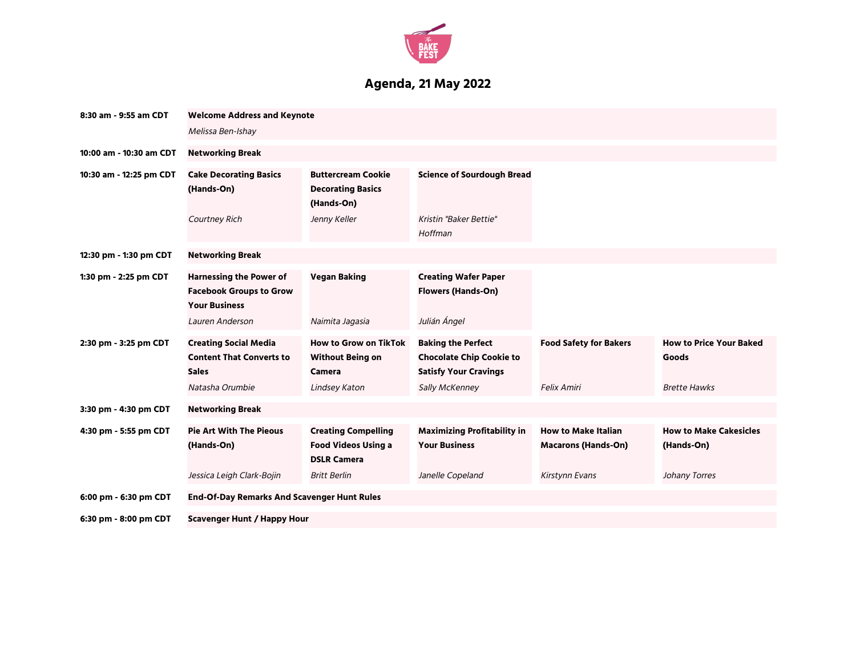

## **Agenda, 21 May 2022**

| 8:30 am - 9:55 am CDT   | <b>Welcome Address and Keynote</b><br>Melissa Ben-Ishay                                            |                                                                                           |                                                                                                                |                                                          |                                                                |  |  |
|-------------------------|----------------------------------------------------------------------------------------------------|-------------------------------------------------------------------------------------------|----------------------------------------------------------------------------------------------------------------|----------------------------------------------------------|----------------------------------------------------------------|--|--|
| 10:00 am - 10:30 am CDT | <b>Networking Break</b>                                                                            |                                                                                           |                                                                                                                |                                                          |                                                                |  |  |
| 10:30 am - 12:25 pm CDT | <b>Cake Decorating Basics</b><br>(Hands-On)                                                        | <b>Buttercream Cookie</b><br><b>Decorating Basics</b><br>(Hands-On)                       | <b>Science of Sourdough Bread</b>                                                                              |                                                          |                                                                |  |  |
|                         | <b>Courtney Rich</b>                                                                               | Jenny Keller                                                                              | Kristin "Baker Bettie"<br>Hoffman                                                                              |                                                          |                                                                |  |  |
| 12:30 pm - 1:30 pm CDT  | <b>Networking Break</b>                                                                            |                                                                                           |                                                                                                                |                                                          |                                                                |  |  |
| 1:30 pm - 2:25 pm CDT   | <b>Harnessing the Power of</b><br><b>Facebook Groups to Grow</b><br><b>Your Business</b>           | <b>Vegan Baking</b>                                                                       | <b>Creating Wafer Paper</b><br><b>Flowers (Hands-On)</b>                                                       |                                                          |                                                                |  |  |
|                         | Lauren Anderson                                                                                    | Naimita Jagasia                                                                           | Julián Ángel                                                                                                   |                                                          |                                                                |  |  |
| 2:30 pm - 3:25 pm CDT   | <b>Creating Social Media</b><br><b>Content That Converts to</b><br><b>Sales</b><br>Natasha Orumbie | <b>How to Grow on TikTok</b><br><b>Without Being on</b><br><b>Camera</b><br>Lindsey Katon | <b>Baking the Perfect</b><br><b>Chocolate Chip Cookie to</b><br><b>Satisfy Your Cravings</b><br>Sally McKenney | <b>Food Safety for Bakers</b><br><b>Felix Amiri</b>      | <b>How to Price Your Baked</b><br>Goods<br><b>Brette Hawks</b> |  |  |
| 3:30 pm - 4:30 pm CDT   | <b>Networking Break</b>                                                                            |                                                                                           |                                                                                                                |                                                          |                                                                |  |  |
| 4:30 pm - 5:55 pm CDT   | <b>Pie Art With The Pieous</b><br>(Hands-On)                                                       | <b>Creating Compelling</b><br><b>Food Videos Using a</b><br><b>DSLR Camera</b>            | <b>Maximizing Profitability in</b><br><b>Your Business</b>                                                     | <b>How to Make Italian</b><br><b>Macarons (Hands-On)</b> | <b>How to Make Cakesicles</b><br>(Hands-On)                    |  |  |
|                         | Jessica Leigh Clark-Bojin                                                                          | <b>Britt Berlin</b>                                                                       | Janelle Copeland                                                                                               | Kirstynn Evans                                           | Johany Torres                                                  |  |  |
| 6:00 pm - 6:30 pm CDT   | <b>End-Of-Day Remarks And Scavenger Hunt Rules</b>                                                 |                                                                                           |                                                                                                                |                                                          |                                                                |  |  |
| 6:30 pm - 8:00 pm CDT   | <b>Scavenger Hunt / Happy Hour</b>                                                                 |                                                                                           |                                                                                                                |                                                          |                                                                |  |  |